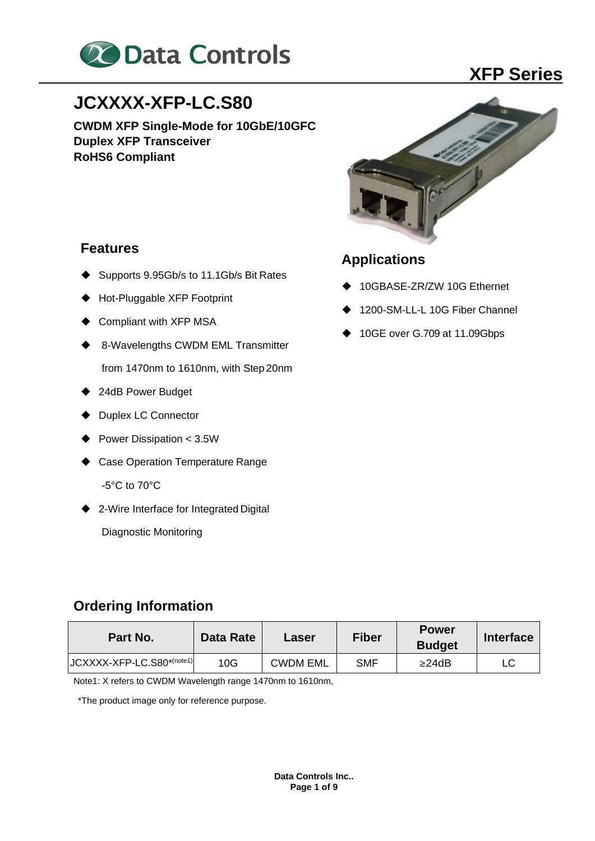

# **JCXXXX-XFP-LC.S80**

**CWDM XFP Single-Mode for 10GbE/10GFC Duplex XFP Transceiver RoHS6 Compliant**

### **Features**

- Supports 9.95Gb/s to 11.1Gb/s Bit Rates
- ◆ Hot-Pluggable XFP Footprint
- Compliant with XFP MSA
- ◆ 8-Wavelengths CWDM EML Transmitter from 1470nm to 1610nm, with Step 20nm
- ◆ 24dB Power Budget
- ◆ Duplex LC Connector
- ◆ Power Dissipation < 3.5W
- ◆ Case Operation Temperature Range -5°C to 70°C
- ◆ 2-Wire Interface for Integrated Digital

Diagnostic Monitoring

## **Applications**

- ◆ 10GBASE-ZR/ZW 10G Ethernet
- 1200-SM-LL-L 10G Fiber Channel
- ◆ 10GE over G.709 at 11.09Gbps

## **Ordering Information**

| Part No.                  | Data Rate | Laser           | <b>Fiber</b> | <b>Power</b><br><b>Budget</b> | <b>Interface</b> |
|---------------------------|-----------|-----------------|--------------|-------------------------------|------------------|
| JCXXXX-XFP-LC.S80*(note1) | 10G       | <b>CWDM EML</b> | SMF          | $\geq$ 24dB                   |                  |

Note1: X refers to CWDM Wavelength range 1470nm to 1610nm,

\*The product image only for reference purpose.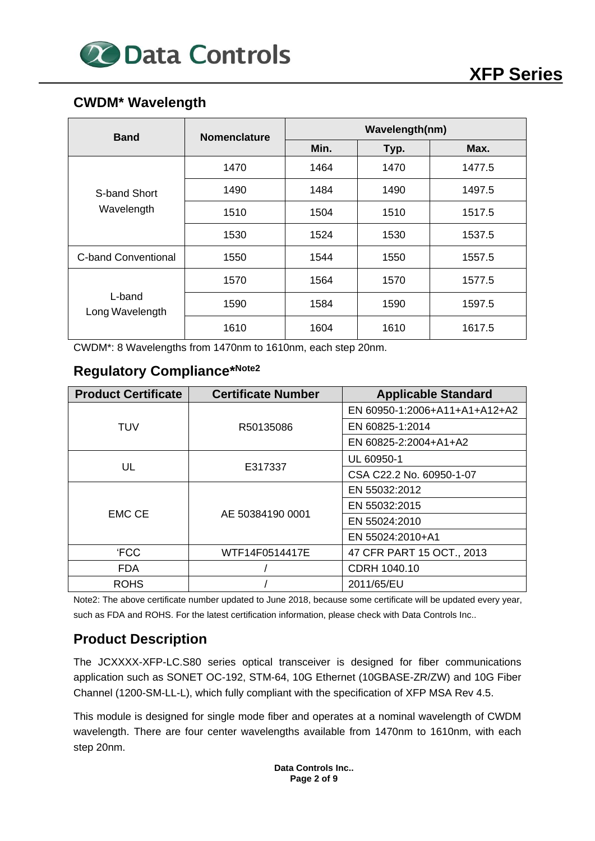

### **CWDM\* Wavelength**

| <b>Band</b>               | <b>Nomenclature</b> | Wavelength(nm) |      |        |  |
|---------------------------|---------------------|----------------|------|--------|--|
|                           |                     | Min.           | Typ. | Max.   |  |
|                           | 1470                | 1464           | 1470 | 1477.5 |  |
| S-band Short              | 1490                | 1484           | 1490 | 1497.5 |  |
| Wavelength                | 1510                | 1504           | 1510 | 1517.5 |  |
|                           | 1530                | 1524           | 1530 | 1537.5 |  |
| C-band Conventional       | 1550                | 1544           | 1550 | 1557.5 |  |
| L-band<br>Long Wavelength | 1570                | 1564           | 1570 | 1577.5 |  |
|                           | 1590                | 1584           | 1590 | 1597.5 |  |
|                           | 1610                | 1604           | 1610 | 1617.5 |  |

CWDM\*: 8 Wavelengths from 1470nm to 1610nm, each step 20nm.

### **Regulatory Compliance\*Note2**

| <b>Product Certificate</b> | <b>Certificate Number</b> | <b>Applicable Standard</b>    |
|----------------------------|---------------------------|-------------------------------|
|                            |                           | EN 60950-1:2006+A11+A1+A12+A2 |
| <b>TUV</b>                 | R50135086                 | EN 60825-1:2014               |
|                            |                           | EN 60825-2:2004+A1+A2         |
|                            |                           | UL 60950-1                    |
| UL                         | E317337                   | CSA C22.2 No. 60950-1-07      |
|                            |                           | EN 55032:2012                 |
|                            |                           | EN 55032:2015                 |
| <b>EMC CE</b>              | AE 50384190 0001          | EN 55024:2010                 |
|                            |                           | EN 55024:2010+A1              |
| <b>FCC</b>                 | WTF14F0514417E            | 47 CFR PART 15 OCT., 2013     |
| <b>FDA</b>                 |                           | CDRH 1040.10                  |
| <b>ROHS</b>                |                           | 2011/65/EU                    |

Note2: The above certificate number updated to June 2018, because some certificate will be updated every year, such as FDA and ROHS. For the latest certification information, please check with Data Controls Inc..

### **Product Description**

The JCXXXX-XFP-LC.S80 series optical transceiver is designed for fiber communications application such as SONET OC-192, STM-64, 10G Ethernet (10GBASE-ZR/ZW) and 10G Fiber Channel (1200-SM-LL-L), which fully compliant with the specification of XFP MSA Rev 4.5.

This module is designed for single mode fiber and operates at a nominal wavelength of CWDM wavelength. There are four center wavelengths available from 1470nm to 1610nm, with each step 20nm.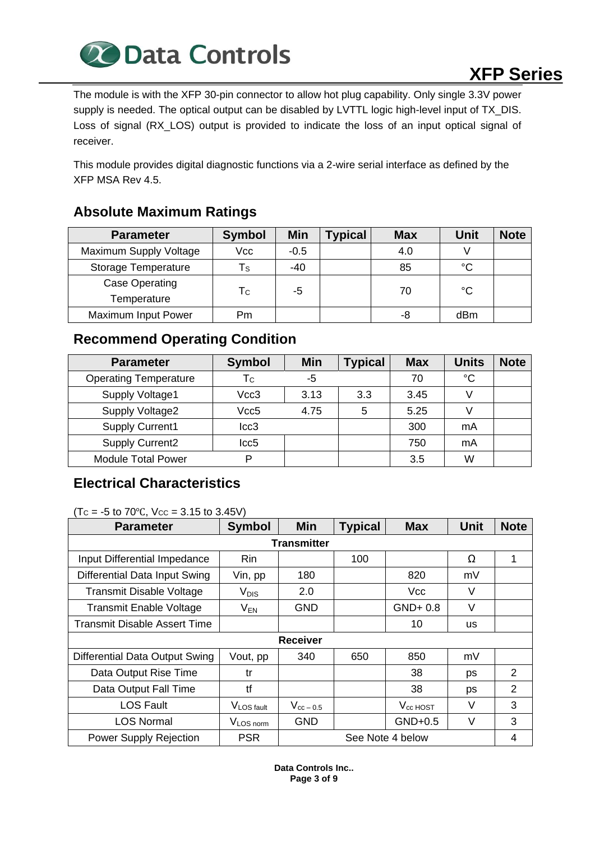

The module is with the XFP 30-pin connector to allow hot plug capability. Only single 3.3V power supply is needed. The optical output can be disabled by LVTTL logic high-level input of TX\_DIS. Loss of signal (RX\_LOS) output is provided to indicate the loss of an input optical signal of receiver.

This module provides digital diagnostic functions via a 2-wire serial interface as defined by the XFP MSA Rev 4.5.

### **Absolute Maximum Ratings**

| <b>Parameter</b>           | <b>Symbol</b> | Min    | <b>Typical</b> | <b>Max</b> | Unit | <b>Note</b> |
|----------------------------|---------------|--------|----------------|------------|------|-------------|
| Maximum Supply Voltage     | Vcc           | $-0.5$ |                | 4.0        |      |             |
| <b>Storage Temperature</b> | Ts            | $-40$  |                | 85         | °C   |             |
| Case Operating             |               |        |                |            |      |             |
| Temperature                | Тc            | -5     |                | 70         | °C   |             |
| Maximum Input Power        | Pm            |        |                | -8         | dBm  |             |

### **Recommend Operating Condition**

| <b>Parameter</b>             | <b>Symbol</b>    | <b>Min</b> | <b>Typical</b> | <b>Max</b> | <b>Units</b> | <b>Note</b> |
|------------------------------|------------------|------------|----------------|------------|--------------|-------------|
| <b>Operating Temperature</b> | Тc               | -5         |                | 70         | $^{\circ}C$  |             |
| Supply Voltage1              | Vcc3<br>3.13     |            | 3.3            | 3.45       |              |             |
| Supply Voltage2              | Vcc5<br>4.75     |            | 5              | 5.25       |              |             |
| Supply Current1              | lcc3             |            |                | 300        | mA           |             |
| <b>Supply Current2</b>       | $_{\text{Lcc5}}$ |            |                | 750        | mA           |             |
| <b>Module Total Power</b>    | רו               |            |                | 3.5        | W            |             |

### **Electrical Characteristics**

 $(T<sub>C</sub> = -5$  to 70°C,  $V<sub>CC</sub> = 3.15$  to 3.45V)

| <b>Parameter</b>                    | <b>Symbol</b>          | <b>Min</b>       | <b>Typical</b> | <b>Max</b>    | <b>Unit</b> | <b>Note</b> |  |  |  |
|-------------------------------------|------------------------|------------------|----------------|---------------|-------------|-------------|--|--|--|
| <b>Transmitter</b>                  |                        |                  |                |               |             |             |  |  |  |
| Input Differential Impedance        | Rin                    |                  | 100            |               | Ω           | 1           |  |  |  |
| Differential Data Input Swing       | Vin, pp                | 180              |                | 820           | mV          |             |  |  |  |
| <b>Transmit Disable Voltage</b>     | $V_{DIS}$              | 2.0              |                | <b>Vcc</b>    | V           |             |  |  |  |
| <b>Transmit Enable Voltage</b>      | $V_{EN}$               | <b>GND</b>       |                | $GND+0.8$     | V           |             |  |  |  |
| <b>Transmit Disable Assert Time</b> |                        |                  |                | 10            | <b>us</b>   |             |  |  |  |
|                                     |                        | <b>Receiver</b>  |                |               |             |             |  |  |  |
| Differential Data Output Swing      | Vout, pp               | 340              | 650            | 850           | mV          |             |  |  |  |
| Data Output Rise Time               | tr                     |                  |                | 38            | ps          | 2           |  |  |  |
| Data Output Fall Time               | tf                     |                  |                | 38            | ps          | 2           |  |  |  |
| <b>LOS Fault</b>                    | V <sub>LOS fault</sub> | $V_{cc-0.5}$     |                | $V_{cc}$ HOST | V           | 3           |  |  |  |
| <b>LOS Normal</b>                   | V <sub>LOS norm</sub>  | <b>GND</b>       |                | $GND+0.5$     | $\vee$      | 3           |  |  |  |
| <b>Power Supply Rejection</b>       | <b>PSR</b>             | See Note 4 below |                |               | 4           |             |  |  |  |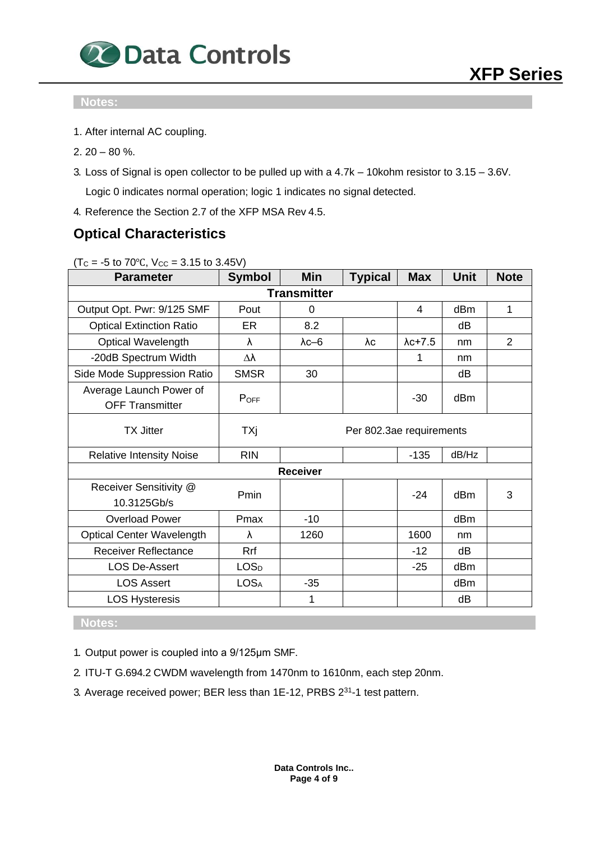

### **Notes:**

- 1. After internal AC coupling.
- $2.20 80 \%$ .
- 3. Loss of Signal is open collector to be pulled up with a 4.7k 10kohm resistor to 3.15 3.6V. Logic 0 indicates normal operation; logic 1 indicates no signal detected.

4. Reference the Section 2.7 of the XFP MSA Rev 4.5.

### **Optical Characteristics**

 $(Tc = -5$  to 70°C,  $V_{CC} = 3.15$  to 3.45V)

| <b>Parameter</b>                                  | <b>Symbol</b> | Min                | <b>Typical</b>           | <b>Max</b>      | <b>Unit</b> | <b>Note</b> |
|---------------------------------------------------|---------------|--------------------|--------------------------|-----------------|-------------|-------------|
|                                                   |               | <b>Transmitter</b> |                          |                 |             |             |
| Output Opt. Pwr: 9/125 SMF                        | Pout          | 0                  |                          | 4               | dBm         | 1           |
| <b>Optical Extinction Ratio</b>                   | ER            | 8.2                |                          |                 | dB          |             |
| <b>Optical Wavelength</b>                         | λ             | $\lambda$ c $-6$   | λc                       | $\lambda$ c+7.5 | nm          | 2           |
| -20dB Spectrum Width                              | Δλ            |                    |                          | 1               | nm          |             |
| Side Mode Suppression Ratio                       | <b>SMSR</b>   | 30                 |                          |                 | dB          |             |
| Average Launch Power of<br><b>OFF Transmitter</b> | $P_{OFF}$     |                    |                          | $-30$           | dBm         |             |
| <b>TX Jitter</b>                                  | TXj           |                    | Per 802.3ae requirements |                 |             |             |
| <b>Relative Intensity Noise</b>                   | <b>RIN</b>    |                    |                          | $-135$          | dB/Hz       |             |
|                                                   |               | <b>Receiver</b>    |                          |                 |             |             |
| Receiver Sensitivity @<br>10.3125Gb/s             | Pmin          |                    |                          | $-24$           | dBm         | 3           |
| <b>Overload Power</b>                             | Pmax          | $-10$              |                          |                 | dBm         |             |
| <b>Optical Center Wavelength</b>                  | λ             | 1260               |                          | 1600            | nm          |             |
| <b>Receiver Reflectance</b>                       | Rrf           |                    |                          | $-12$           | dB          |             |
| <b>LOS De-Assert</b>                              | <b>LOSD</b>   |                    |                          | $-25$           | dBm         |             |
| <b>LOS Assert</b>                                 | <b>LOSA</b>   | $-35$              |                          |                 | dBm         |             |
| <b>LOS Hysteresis</b>                             |               | 1                  |                          |                 | dВ          |             |

### **Notes:**

1. Output power is coupled into a 9/125μm SMF.

- 2. ITU-T G.694.2 CWDM wavelength from 1470nm to 1610nm, each step 20nm.
- 3. Average received power; BER less than 1E-12, PRBS 2<sup>31</sup>-1 test pattern.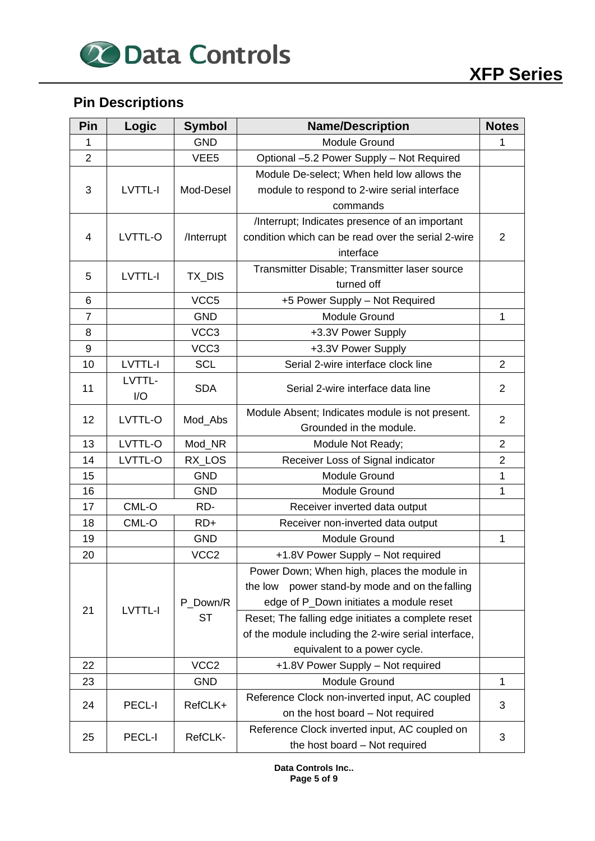

## **Pin Descriptions**

| Pin            | Logic              | <b>Symbol</b>     | <b>Name/Description</b>                              |                |  |
|----------------|--------------------|-------------------|------------------------------------------------------|----------------|--|
| 1              |                    | <b>GND</b>        | Module Ground                                        | 1              |  |
| $\overline{2}$ |                    | VEE <sub>5</sub>  | Optional -5.2 Power Supply - Not Required            |                |  |
|                |                    |                   | Module De-select; When held low allows the           |                |  |
| 3              | LVTTL-I            | Mod-Desel         | module to respond to 2-wire serial interface         |                |  |
|                |                    |                   | commands                                             |                |  |
|                |                    |                   | /Interrupt; Indicates presence of an important       |                |  |
| $\overline{4}$ | LVTTL-O            | /Interrupt        | condition which can be read over the serial 2-wire   | $\overline{2}$ |  |
|                |                    |                   | interface                                            |                |  |
| 5              | LVTTL-I            | TX_DIS            | Transmitter Disable; Transmitter laser source        |                |  |
|                |                    |                   | turned off                                           |                |  |
| 6              |                    | VCC <sub>5</sub>  | +5 Power Supply - Not Required                       |                |  |
| $\overline{7}$ |                    | <b>GND</b>        | <b>Module Ground</b>                                 | $\mathbf{1}$   |  |
| 8              |                    | VCC <sub>3</sub>  | +3.3V Power Supply                                   |                |  |
| 9              |                    | VCC <sub>3</sub>  | +3.3V Power Supply                                   |                |  |
| 10             | <b>LVTTL-I</b>     | <b>SCL</b>        | Serial 2-wire interface clock line                   | $\overline{2}$ |  |
|                | LVTTL-             |                   |                                                      |                |  |
| 11             | I/O                | <b>SDA</b>        | Serial 2-wire interface data line                    | $\overline{2}$ |  |
|                |                    |                   | Module Absent; Indicates module is not present.      |                |  |
| 12             | LVTTL-O<br>Mod_Abs |                   | Grounded in the module.                              | $\overline{2}$ |  |
| 13             | LVTTL-O            | Mod_NR            | Module Not Ready;                                    | $\overline{2}$ |  |
| 14             | LVTTL-O            | RX_LOS            | Receiver Loss of Signal indicator                    | $\overline{2}$ |  |
| 15             |                    | <b>GND</b>        | Module Ground                                        | $\mathbf{1}$   |  |
| 16             |                    | <b>GND</b>        | Module Ground                                        | $\mathbf{1}$   |  |
| 17             | CML-O              | RD-               | Receiver inverted data output                        |                |  |
| 18             | CML-O              | $RD+$             | Receiver non-inverted data output                    |                |  |
| 19             |                    | <b>GND</b>        | Module Ground                                        | 1              |  |
| 20             |                    | VCC <sub>2</sub>  | +1.8V Power Supply - Not required                    |                |  |
|                |                    |                   | Power Down; When high, places the module in          |                |  |
|                |                    |                   | power stand-by mode and on the falling<br>the low    |                |  |
| 21             | LVTTL-I            | P Down/R          | edge of P_Down initiates a module reset              |                |  |
|                |                    | <b>ST</b>         | Reset; The falling edge initiates a complete reset   |                |  |
|                |                    |                   | of the module including the 2-wire serial interface, |                |  |
|                |                    |                   | equivalent to a power cycle.                         |                |  |
| 22             |                    | VCC <sub>2</sub>  | +1.8V Power Supply - Not required                    |                |  |
| 23             |                    | <b>GND</b>        | Module Ground                                        | 1              |  |
| 24             |                    |                   | Reference Clock non-inverted input, AC coupled       |                |  |
|                |                    | PECL-I<br>RefCLK+ | on the host board - Not required                     | 3              |  |
| 25             | PECL-I             | RefCLK-           | Reference Clock inverted input, AC coupled on        | 3              |  |
|                |                    |                   | the host board - Not required                        |                |  |

**Data Controls Inc.. Page 5 of 9**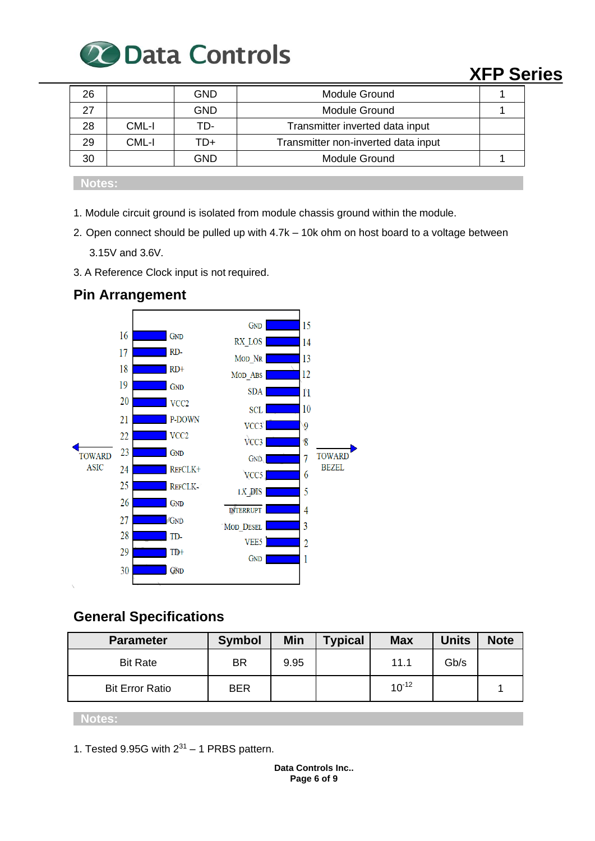

| 26 |       | GND        | Module Ground                       |  |
|----|-------|------------|-------------------------------------|--|
| 27 |       | <b>GND</b> | Module Ground                       |  |
| 28 | CML-I | TD-        | Transmitter inverted data input     |  |
| 29 | CML-I | TD+        | Transmitter non-inverted data input |  |
| 30 |       | GND        | Module Ground                       |  |
|    |       |            |                                     |  |

**Notes:**

- 1. Module circuit ground is isolated from module chassis ground within the module.
- 2. Open connect should be pulled up with 4.7k 10k ohm on host board to a voltage between 3.15V and 3.6V.
- 3. A Reference Clock input is not required.



### **Pin Arrangement**

### **General Specifications**

| <b>Parameter</b>       | <b>Symbol</b> | Min  | <b>Typical</b> | <b>Max</b> | <b>Units</b> | <b>Note</b> |
|------------------------|---------------|------|----------------|------------|--------------|-------------|
| <b>Bit Rate</b>        | BR            | 9.95 |                | 11.1       | Gb/s         |             |
| <b>Bit Error Ratio</b> | <b>BER</b>    |      |                | $10^{-12}$ |              |             |

### **Notes:**

1. Tested 9.95G with  $2^{31}$  – 1 PRBS pattern.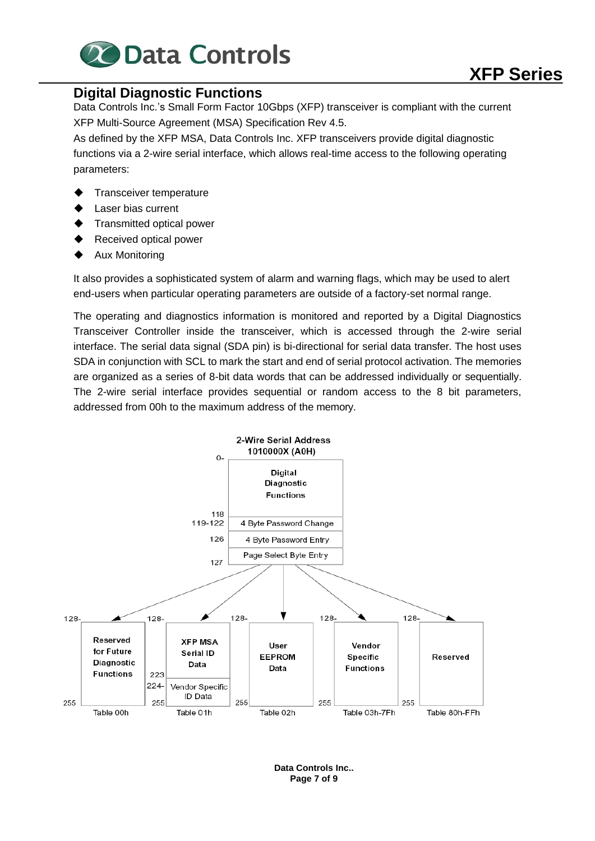

### **Digital Diagnostic Functions**

Data Controls Inc.'s Small Form Factor 10Gbps (XFP) transceiver is compliant with the current XFP Multi-Source Agreement (MSA) Specification Rev 4.5.

As defined by the XFP MSA, Data Controls Inc. XFP transceivers provide digital diagnostic functions via a 2-wire serial interface, which allows real-time access to the following operating parameters:

- Transceiver temperature
- **Laser bias current**
- **Transmitted optical power**
- Received optical power
- **Aux Monitoring**

It also provides a sophisticated system of alarm and warning flags, which may be used to alert end-users when particular operating parameters are outside of a factory-set normal range.

The operating and diagnostics information is monitored and reported by a Digital Diagnostics Transceiver Controller inside the transceiver, which is accessed through the 2-wire serial interface. The serial data signal (SDA pin) is bi-directional for serial data transfer. The host uses SDA in conjunction with SCL to mark the start and end of serial protocol activation. The memories are organized as a series of 8-bit data words that can be addressed individually or sequentially. The 2-wire serial interface provides sequential or random access to the 8 bit parameters, addressed from 00h to the maximum address of the memory.



**Data Controls Inc.. Page 7 of 9**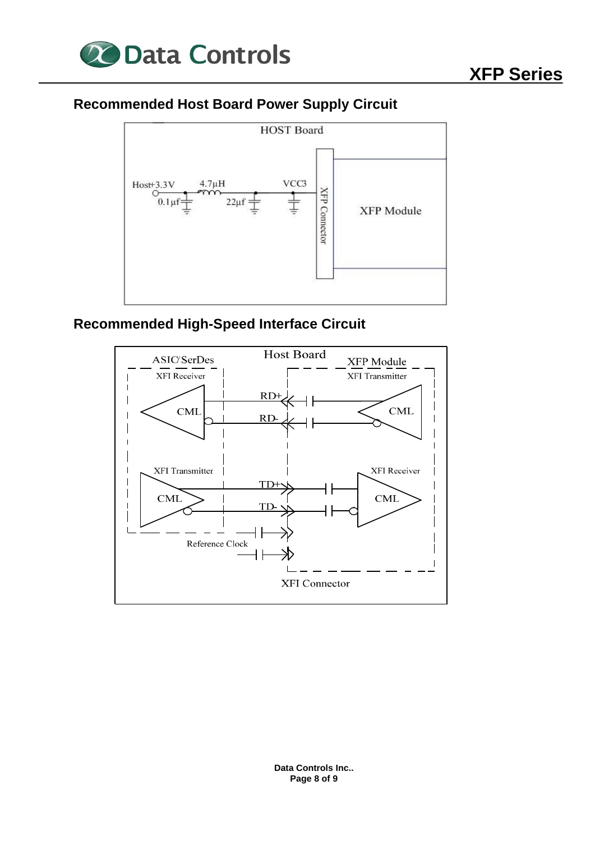

### **Recommended Host Board Power Supply Circuit**



### **Recommended High-Speed Interface Circuit**